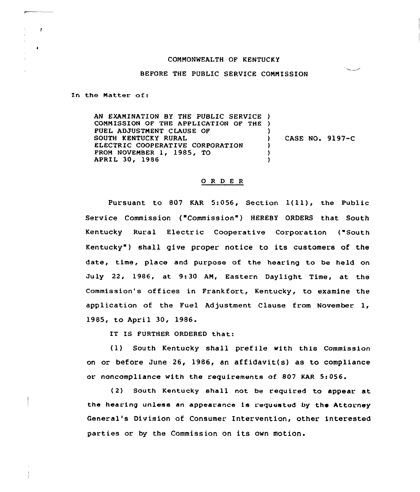## COMMONWEALTH OF KENTUCKY

## BEFORE THE PUBLIC SERVICE COMMISSION

**Sales Control** 

In the Matter of:

 $\cdot$ 

 $\ddot{\phantom{a}}$ 

AN EXAMINATION BY THE PUBLIC SERVICE ) COMMISSION OF THE APPLICATION OF THE ) FUEL ADJUSTMENT CLAUSE OF SOUTH KENTUCKY RURAL ELECTRIC COOPERATIVE CORPORATION FROM NOVEMBER 1, 1985, TO APRIL 30, 1986 ) ) CASE NO. 9197-C ) )

## 0 R <sup>D</sup> <sup>E</sup> <sup>R</sup>

Pursuant to <sup>807</sup> KAR 5:056, Section 1(ll), the Public Service Commission ("Commission") HEREBY ORDERS that South Kentucky Rural Electric Cooperative Corporation ("South Kentucky" ) shall give proper notice to its customers of the date, time, place and purpose of the hearing to be held on July 22, 1986, at 9:30 AM, Eastern Daylight Time, at the Commission's offices in Frankfort, Kentucky, to examine the application of the Fuel Adjustment Clause from November 1, 1985, to April 30, 1986.

IT IS FURTHER ORDERED that:

(1) South Kentucky shall prefile with this Commission on or before June 26, 1986, an affidavit(s) as to compliance or noncompliance with the requirements of 807 KAR 5:056.

(2) South Kentucky shall not be required to appear at the hearing unless an appearance is requested by the Attorney General's Division of Consumer Intervention, other interested parties or by the Commission on its own motion.